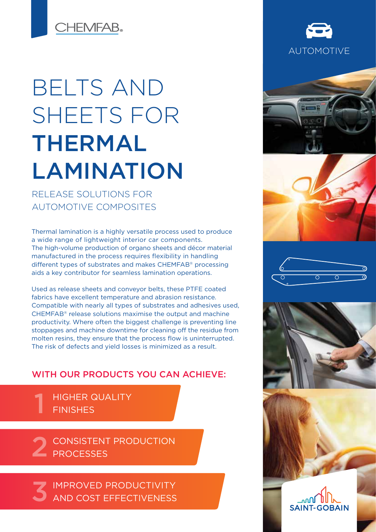**CHEMFAB.** 

# BELTS AND SHEETS FOR THERMAL LAMINATION

RELEASE SOLUTIONS FOR AUTOMOTIVE COMPOSITES

Thermal lamination is a highly versatile process used to produce a wide range of lightweight interior car components. The high-volume production of organo sheets and décor material manufactured in the process requires flexibility in handling different types of substrates and makes CHEMFAB® processing aids a key contributor for seamless lamination operations.

Used as release sheets and conveyor belts, these PTFE coated fabrics have excellent temperature and abrasion resistance. Compatible with nearly all types of substrates and adhesives used, CHEMFAB® release solutions maximise the output and machine productivity. Where often the biggest challenge is preventing line stoppages and machine downtime for cleaning off the residue from molten resins, they ensure that the process flow is uninterrupted. The risk of defects and yield losses is minimized as a result.

## WITH OUR PRODUCTS YOU CAN ACHIEVE:

HIGHER QUALITY **FINISHES** 1

CONSISTENT PRODUCTION 2 CONSISTENT

IMPROVED PRODUCTIVITY AND COST EFFECTIVENESS 3













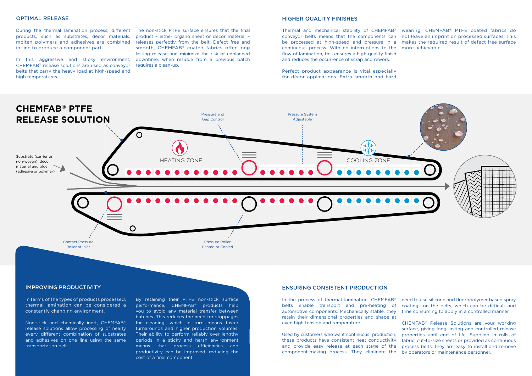#### OPTIMAL RELEASE

products, such as substrates, décor materials, molten polymers and adhesives are combined releases perfectly from the belt. Defect free and in-line to produce a component part.

In this aggressive and sticky environment, CHEMFAB® release solutions are used as conveyor belts that carry the heavy load at high-speed and high temperatures.

During the thermal lamination process, different The non-stick PTFE surface ensures that the final product – either organo sheet or décor material – smooth, CHEMFAB® coated fabrics offer long lasting release and minimize the risk of unplanned downtime, when residue from a previous batch requires a clean-up.

#### IMPROVING PRODUCTIVITY

In terms of the types of products processed, thermal lamination can be considered a constantly changing environment.

Non-stick and chemically inert, CHEMFAB® release solutions allow processing of nearly every different combination of substrates and adhesives on one line using the same transportation belt.

need to use silicone and fluoropolymer based spray coatings on the belts, which can be difficult and time consuming to apply in a controlled manner. CHEMFAB® Release Solutions are your working In the process of thermal lamination, CHEMFAB® belts enable transport and pre-heating of automotive components. Mechanically stable, they retain their dimensional properties and shape at even high tension and temperature.

surface, giving long lasting and controlled release properties until end of life. Supplied in rolls of fabric, cut-to-size sheets or provided as continuous process belts, they are easy to install and remove by operators or maintenance personnel. Used by customers who want continuous production, these products have consistent heat conductivity and provide easy release at each stage of the component-making process. They eliminate the

By retaining their PTFE non-stick surface performance, CHEMFAB® products help you to avoid any material transfer between batches. This reduces the need for stoppages for cleaning, which in turn means faster turnarounds and higher production volumes. Their ability to perform reliably over lengthy periods in a sticky and harsh environment means that process efficiencies and productivity can be improved, reducing the cost of a final component.

## ENSURING CONSISTENT PRODUCTION

#### HIGHER QUALITY FINISHES

Thermal and mechanical stability of CHEMFAB® conveyor belts means that the components can be processed at high-speed and pressure in a continuous process. With no interruptions to the more achievable. flow of lamination, this ensures a high quality finish and reduces the occurrence of scrap and rework. wearing, CHEMFAB® PTFE coated fabrics do not leave an imprint on processed surfaces. This makes the required result of defect free surface

Perfect product appearance is vital especially for décor applications. Extra smooth and hard